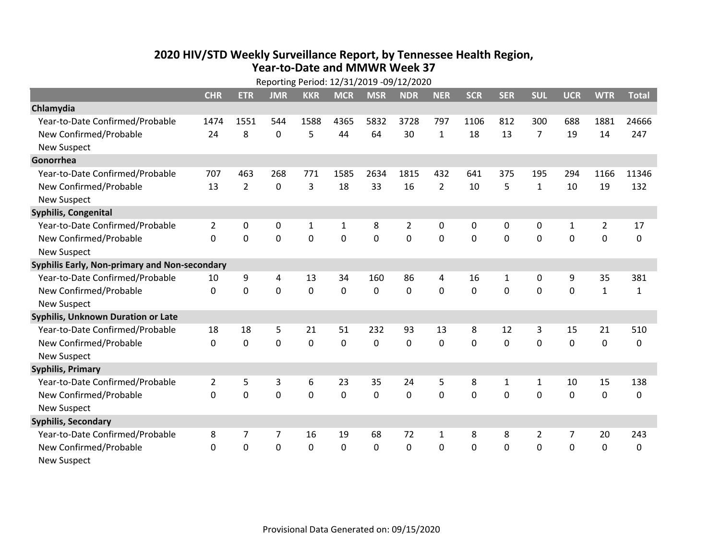## **2020 HIV /STD Weekly Surveillance Report, by Tennessee Health Region, Year‐to‐Date and MMWR Week 37** Reporting Period: 12/31/2019 ‐09/12/2020

| Reporting Period: 12/31/2019 -09/12/2020      |                |                |                |              |              |            |                |                |              |             |                |                |                |              |
|-----------------------------------------------|----------------|----------------|----------------|--------------|--------------|------------|----------------|----------------|--------------|-------------|----------------|----------------|----------------|--------------|
|                                               | <b>CHR</b>     | <b>ETR</b>     | <b>JMR</b>     | <b>KKR</b>   | <b>MCR</b>   | <b>MSR</b> | <b>NDR</b>     | <b>NER</b>     | <b>SCR</b>   | <b>SER</b>  | <b>SUL</b>     | <b>UCR</b>     | <b>WTR</b>     | <b>Total</b> |
| Chlamydia                                     |                |                |                |              |              |            |                |                |              |             |                |                |                |              |
| Year-to-Date Confirmed/Probable               | 1474           | 1551           | 544            | 1588         | 4365         | 5832       | 3728           | 797            | 1106         | 812         | 300            | 688            | 1881           | 24666        |
| New Confirmed/Probable                        | 24             | 8              | $\Omega$       | 5            | 44           | 64         | 30             | $\mathbf{1}$   | 18           | 13          | 7              | 19             | 14             | 247          |
| <b>New Suspect</b>                            |                |                |                |              |              |            |                |                |              |             |                |                |                |              |
| Gonorrhea                                     |                |                |                |              |              |            |                |                |              |             |                |                |                |              |
| Year-to-Date Confirmed/Probable               | 707            | 463            | 268            | 771          | 1585         | 2634       | 1815           | 432            | 641          | 375         | 195            | 294            | 1166           | 11346        |
| New Confirmed/Probable                        | 13             | $\overline{2}$ | $\mathbf 0$    | 3            | 18           | 33         | 16             | $\overline{2}$ | 10           | 5           | $\mathbf{1}$   | 10             | 19             | 132          |
| <b>New Suspect</b>                            |                |                |                |              |              |            |                |                |              |             |                |                |                |              |
| <b>Syphilis, Congenital</b>                   |                |                |                |              |              |            |                |                |              |             |                |                |                |              |
| Year-to-Date Confirmed/Probable               | $\overline{2}$ | 0              | 0              | $\mathbf{1}$ | 1            | 8          | 2              | 0              | 0            | 0           | 0              | 1              | $\overline{a}$ | 17           |
| New Confirmed/Probable                        | $\Omega$       | $\mathbf 0$    | $\overline{0}$ | 0            | $\mathbf 0$  | 0          | $\overline{0}$ | $\Omega$       | $\mathbf 0$  | $\mathbf 0$ | $\mathbf 0$    | $\overline{0}$ | $\mathbf 0$    | 0            |
| <b>New Suspect</b>                            |                |                |                |              |              |            |                |                |              |             |                |                |                |              |
| Syphilis Early, Non-primary and Non-secondary |                |                |                |              |              |            |                |                |              |             |                |                |                |              |
| Year-to-Date Confirmed/Probable               | 10             | 9              | 4              | 13           | 34           | 160        | 86             | 4              | 16           | 1           | $\mathbf 0$    | 9              | 35             | 381          |
| New Confirmed/Probable                        | $\Omega$       | $\mathbf 0$    | $\mathbf 0$    | 0            | $\Omega$     | 0          | $\Omega$       | $\Omega$       | $\Omega$     | 0           | 0              | 0              | $\mathbf{1}$   | $\mathbf{1}$ |
| <b>New Suspect</b>                            |                |                |                |              |              |            |                |                |              |             |                |                |                |              |
| Syphilis, Unknown Duration or Late            |                |                |                |              |              |            |                |                |              |             |                |                |                |              |
| Year-to-Date Confirmed/Probable               | 18             | 18             | 5              | 21           | 51           | 232        | 93             | 13             | 8            | 12          | 3              | 15             | 21             | 510          |
| New Confirmed/Probable                        | 0              | $\mathbf 0$    | $\overline{0}$ | 0            | 0            | 0          | $\Omega$       | $\mathbf 0$    | 0            | $\mathbf 0$ | $\mathbf 0$    | 0              | $\mathbf 0$    | 0            |
| <b>New Suspect</b>                            |                |                |                |              |              |            |                |                |              |             |                |                |                |              |
| <b>Syphilis, Primary</b>                      |                |                |                |              |              |            |                |                |              |             |                |                |                |              |
| Year-to-Date Confirmed/Probable               | $\overline{2}$ | 5              | 3              | 6            | 23           | 35         | 24             | 5              | 8            | 1           | 1              | 10             | 15             | 138          |
| New Confirmed/Probable                        | 0              | 0              | 0              | 0            | 0            | 0          | $\mathbf 0$    | 0              | 0            | 0           | 0              | 0              | $\mathbf 0$    | 0            |
| <b>New Suspect</b>                            |                |                |                |              |              |            |                |                |              |             |                |                |                |              |
| <b>Syphilis, Secondary</b>                    |                |                |                |              |              |            |                |                |              |             |                |                |                |              |
| Year-to-Date Confirmed/Probable               | 8              | 7              | 7              | 16           | 19           | 68         | 72             | $\mathbf{1}$   | 8            | 8           | $\overline{2}$ | 7              | 20             | 243          |
| New Confirmed/Probable                        | $\Omega$       | $\Omega$       | 0              | $\Omega$     | $\mathbf{0}$ | 0          | $\Omega$       | $\Omega$       | $\mathbf{0}$ | 0           | 0              | 0              | $\mathbf 0$    | 0            |
| <b>New Suspect</b>                            |                |                |                |              |              |            |                |                |              |             |                |                |                |              |